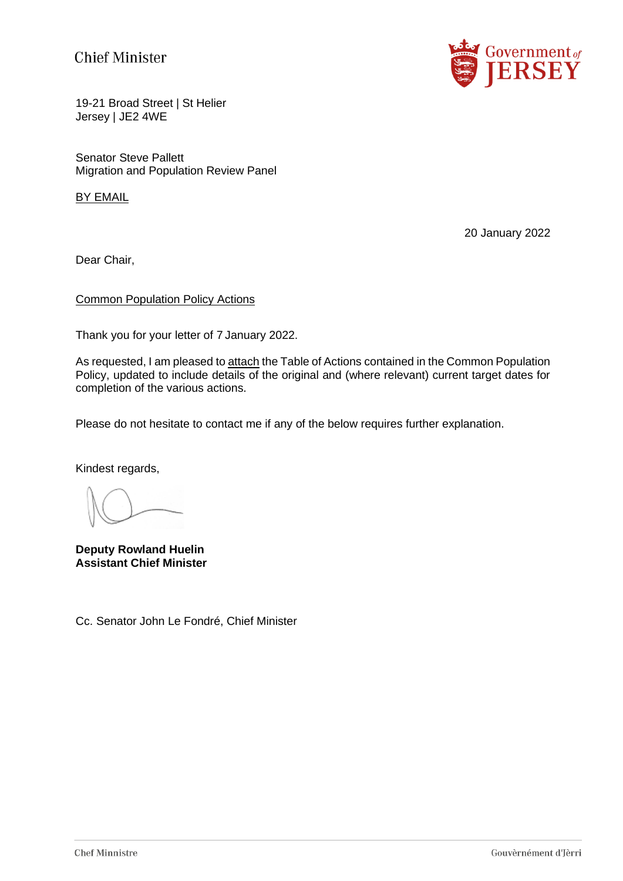# **Chief Minister**



19-21 Broad Street | St Helier Jersey | JE2 4WE

Senator Steve Pallett Migration and Population Review Panel

BY EMAIL

20 January 2022

Dear Chair,

### Common Population Policy Actions

Thank you for your letter of 7 January 2022.

As requested, I am pleased to attach the Table of Actions contained in the Common Population Policy, updated to include details of the original and (where relevant) current target dates for completion of the various actions.

Please do not hesitate to contact me if any of the below requires further explanation.

Kindest regards,

**Deputy Rowland Huelin Assistant Chief Minister**

Cc. Senator John Le Fondré, Chief Minister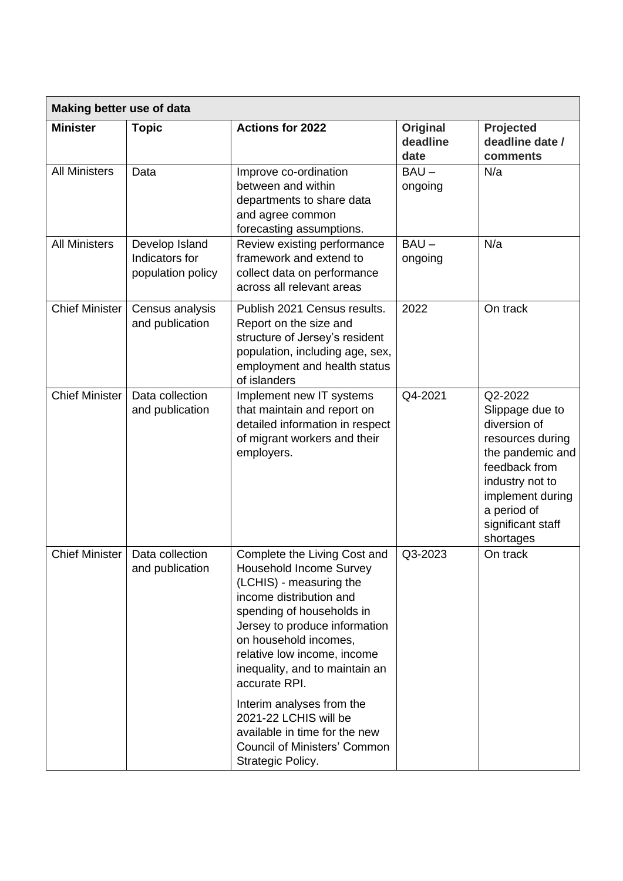| <b>Making better use of data</b> |                                                       |                                                                                                                                                                                                                                                                                               |                              |                                                                                                                                                                                             |
|----------------------------------|-------------------------------------------------------|-----------------------------------------------------------------------------------------------------------------------------------------------------------------------------------------------------------------------------------------------------------------------------------------------|------------------------------|---------------------------------------------------------------------------------------------------------------------------------------------------------------------------------------------|
| <b>Minister</b>                  | <b>Topic</b>                                          | <b>Actions for 2022</b>                                                                                                                                                                                                                                                                       | Original<br>deadline<br>date | Projected<br>deadline date /<br>comments                                                                                                                                                    |
| <b>All Ministers</b>             | Data                                                  | Improve co-ordination<br>between and within<br>departments to share data<br>and agree common<br>forecasting assumptions.                                                                                                                                                                      | $BAU -$<br>ongoing           | N/a                                                                                                                                                                                         |
| <b>All Ministers</b>             | Develop Island<br>Indicators for<br>population policy | Review existing performance<br>framework and extend to<br>collect data on performance<br>across all relevant areas                                                                                                                                                                            | $BAU -$<br>ongoing           | N/a                                                                                                                                                                                         |
| <b>Chief Minister</b>            | Census analysis<br>and publication                    | Publish 2021 Census results.<br>Report on the size and<br>structure of Jersey's resident<br>population, including age, sex,<br>employment and health status<br>of islanders                                                                                                                   | 2022                         | On track                                                                                                                                                                                    |
| <b>Chief Minister</b>            | Data collection<br>and publication                    | Implement new IT systems<br>that maintain and report on<br>detailed information in respect<br>of migrant workers and their<br>employers.                                                                                                                                                      | Q4-2021                      | Q2-2022<br>Slippage due to<br>diversion of<br>resources during<br>the pandemic and<br>feedback from<br>industry not to<br>implement during<br>a period of<br>significant staff<br>shortages |
| <b>Chief Minister</b>            | Data collection<br>and publication                    | Complete the Living Cost and<br><b>Household Income Survey</b><br>(LCHIS) - measuring the<br>income distribution and<br>spending of households in<br>Jersey to produce information<br>on household incomes,<br>relative low income, income<br>inequality, and to maintain an<br>accurate RPI. | Q3-2023                      | On track                                                                                                                                                                                    |
|                                  |                                                       | Interim analyses from the<br>2021-22 LCHIS will be<br>available in time for the new<br><b>Council of Ministers' Common</b><br>Strategic Policy.                                                                                                                                               |                              |                                                                                                                                                                                             |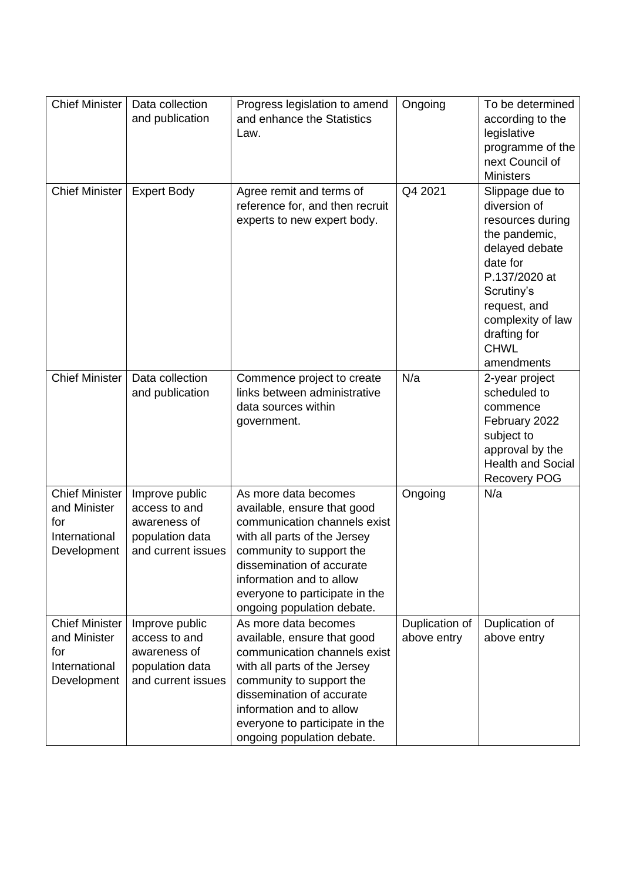| <b>Chief Minister</b>                                                        | Data collection<br>and publication                                                       | Progress legislation to amend<br>and enhance the Statistics<br>Law.                                                                                                                                                                                                      | Ongoing                       | To be determined<br>according to the<br>legislative<br>programme of the<br>next Council of<br><b>Ministers</b>                                                                                                      |
|------------------------------------------------------------------------------|------------------------------------------------------------------------------------------|--------------------------------------------------------------------------------------------------------------------------------------------------------------------------------------------------------------------------------------------------------------------------|-------------------------------|---------------------------------------------------------------------------------------------------------------------------------------------------------------------------------------------------------------------|
| Chief Minister                                                               | <b>Expert Body</b>                                                                       | Agree remit and terms of<br>reference for, and then recruit<br>experts to new expert body.                                                                                                                                                                               | Q4 2021                       | Slippage due to<br>diversion of<br>resources during<br>the pandemic,<br>delayed debate<br>date for<br>P.137/2020 at<br>Scrutiny's<br>request, and<br>complexity of law<br>drafting for<br><b>CHWL</b><br>amendments |
| <b>Chief Minister</b>                                                        | Data collection<br>and publication                                                       | Commence project to create<br>links between administrative<br>data sources within<br>government.                                                                                                                                                                         | N/a                           | 2-year project<br>scheduled to<br>commence<br>February 2022<br>subject to<br>approval by the<br><b>Health and Social</b><br><b>Recovery POG</b>                                                                     |
| <b>Chief Minister</b><br>and Minister<br>for<br>International<br>Development | Improve public<br>access to and<br>awareness of<br>population data<br>and current issues | As more data becomes<br>available, ensure that good<br>communication channels exist<br>with all parts of the Jersey<br>community to support the<br>dissemination of accurate<br>information and to allow<br>everyone to participate in the<br>ongoing population debate. | Ongoing                       | N/a                                                                                                                                                                                                                 |
| <b>Chief Minister</b><br>and Minister<br>for<br>International<br>Development | Improve public<br>access to and<br>awareness of<br>population data<br>and current issues | As more data becomes<br>available, ensure that good<br>communication channels exist<br>with all parts of the Jersey<br>community to support the<br>dissemination of accurate<br>information and to allow<br>everyone to participate in the<br>ongoing population debate. | Duplication of<br>above entry | Duplication of<br>above entry                                                                                                                                                                                       |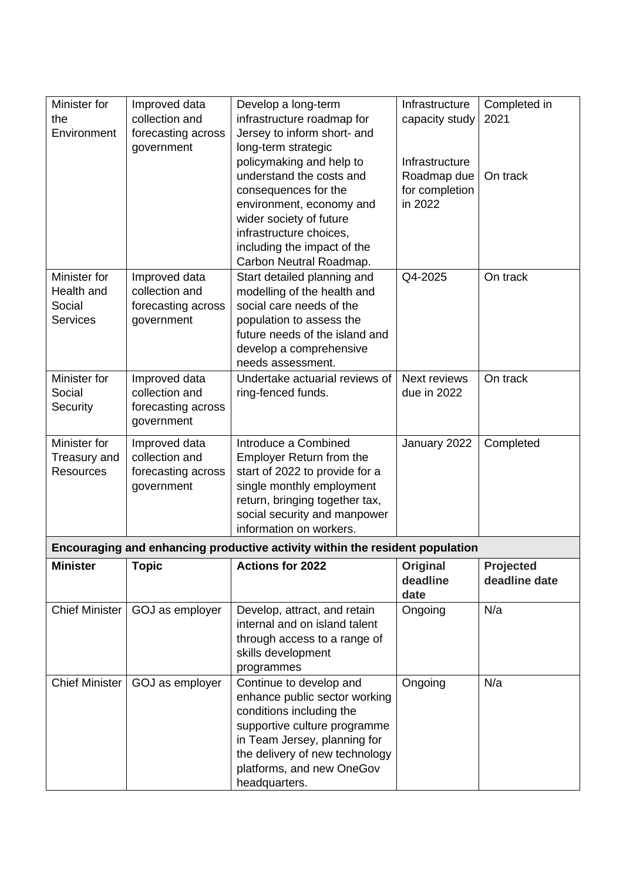| Minister for          | Improved data      | Develop a long-term                                                          | Infrastructure      | Completed in  |
|-----------------------|--------------------|------------------------------------------------------------------------------|---------------------|---------------|
| the                   | collection and     | infrastructure roadmap for                                                   | capacity study      | 2021          |
| Environment           | forecasting across | Jersey to inform short- and                                                  |                     |               |
|                       | government         | long-term strategic                                                          |                     |               |
|                       |                    | policymaking and help to                                                     | Infrastructure      |               |
|                       |                    | understand the costs and                                                     | Roadmap due         | On track      |
|                       |                    | consequences for the                                                         | for completion      |               |
|                       |                    | environment, economy and                                                     | in 2022             |               |
|                       |                    | wider society of future                                                      |                     |               |
|                       |                    | infrastructure choices,                                                      |                     |               |
|                       |                    | including the impact of the                                                  |                     |               |
|                       |                    | Carbon Neutral Roadmap.                                                      |                     |               |
| Minister for          | Improved data      | Start detailed planning and                                                  | Q4-2025             | On track      |
| Health and            | collection and     | modelling of the health and                                                  |                     |               |
| Social                | forecasting across | social care needs of the                                                     |                     |               |
| <b>Services</b>       | government         | population to assess the                                                     |                     |               |
|                       |                    | future needs of the island and                                               |                     |               |
|                       |                    | develop a comprehensive                                                      |                     |               |
|                       |                    | needs assessment.                                                            |                     |               |
| Minister for          | Improved data      | Undertake actuarial reviews of                                               | <b>Next reviews</b> | On track      |
| Social                | collection and     | ring-fenced funds.                                                           | due in 2022         |               |
| Security              | forecasting across |                                                                              |                     |               |
|                       | government         |                                                                              |                     |               |
| Minister for          | Improved data      | Introduce a Combined                                                         | January 2022        | Completed     |
| Treasury and          | collection and     | <b>Employer Return from the</b>                                              |                     |               |
| <b>Resources</b>      | forecasting across | start of 2022 to provide for a                                               |                     |               |
|                       | government         | single monthly employment                                                    |                     |               |
|                       |                    | return, bringing together tax,                                               |                     |               |
|                       |                    | social security and manpower                                                 |                     |               |
|                       |                    | information on workers.                                                      |                     |               |
|                       |                    | Encouraging and enhancing productive activity within the resident population |                     |               |
| <b>Minister</b>       | <b>Topic</b>       | <b>Actions for 2022</b>                                                      | Original            | Projected     |
|                       |                    |                                                                              | deadline            | deadline date |
|                       |                    |                                                                              | date                |               |
| <b>Chief Minister</b> | GOJ as employer    | Develop, attract, and retain                                                 | Ongoing             | N/a           |
|                       |                    | internal and on island talent                                                |                     |               |
|                       |                    | through access to a range of                                                 |                     |               |
|                       |                    | skills development                                                           |                     |               |
|                       |                    | programmes                                                                   |                     |               |
| <b>Chief Minister</b> | GOJ as employer    | Continue to develop and                                                      | Ongoing             | N/a           |
|                       |                    | enhance public sector working                                                |                     |               |
|                       |                    | conditions including the                                                     |                     |               |
|                       |                    | supportive culture programme                                                 |                     |               |
|                       |                    | in Team Jersey, planning for                                                 |                     |               |
|                       |                    | the delivery of new technology                                               |                     |               |
|                       |                    |                                                                              |                     |               |
|                       |                    | platforms, and new OneGov<br>headquarters.                                   |                     |               |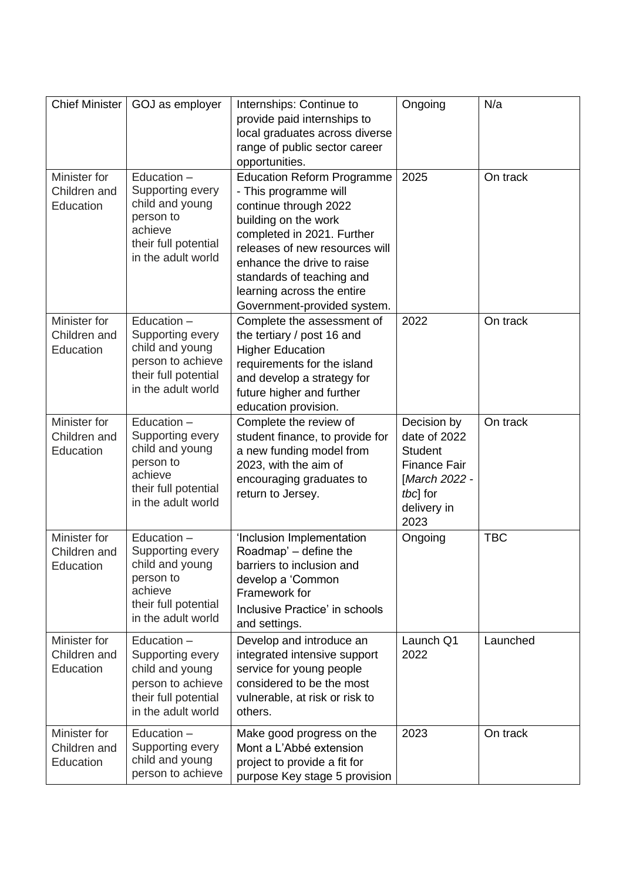| <b>Chief Minister</b>                     | GOJ as employer                                                                                                            | Internships: Continue to<br>provide paid internships to<br>local graduates across diverse<br>range of public sector career<br>opportunities.                                                                                                                                                        | Ongoing                                                                                                                  | N/a        |
|-------------------------------------------|----------------------------------------------------------------------------------------------------------------------------|-----------------------------------------------------------------------------------------------------------------------------------------------------------------------------------------------------------------------------------------------------------------------------------------------------|--------------------------------------------------------------------------------------------------------------------------|------------|
| Minister for<br>Children and<br>Education | Education -<br>Supporting every<br>child and young<br>person to<br>achieve<br>their full potential<br>in the adult world   | <b>Education Reform Programme</b><br>- This programme will<br>continue through 2022<br>building on the work<br>completed in 2021. Further<br>releases of new resources will<br>enhance the drive to raise<br>standards of teaching and<br>learning across the entire<br>Government-provided system. | 2025                                                                                                                     | On track   |
| Minister for<br>Children and<br>Education | Education -<br>Supporting every<br>child and young<br>person to achieve<br>their full potential<br>in the adult world      | Complete the assessment of<br>the tertiary / post 16 and<br><b>Higher Education</b><br>requirements for the island<br>and develop a strategy for<br>future higher and further<br>education provision.                                                                                               | 2022                                                                                                                     | On track   |
| Minister for<br>Children and<br>Education | Education $-$<br>Supporting every<br>child and young<br>person to<br>achieve<br>their full potential<br>in the adult world | Complete the review of<br>student finance, to provide for<br>a new funding model from<br>2023, with the aim of<br>encouraging graduates to<br>return to Jersey.                                                                                                                                     | Decision by<br>date of 2022<br><b>Student</b><br><b>Finance Fair</b><br>[March 2022 -<br>tbcl for<br>delivery in<br>2023 | On track   |
| Minister for<br>Children and<br>Education | Education -<br>Supporting every<br>child and young<br>person to<br>achieve<br>their full potential<br>in the adult world   | 'Inclusion Implementation<br>Roadmap' – define the<br>barriers to inclusion and<br>develop a 'Common<br>Framework for<br>Inclusive Practice' in schools<br>and settings.                                                                                                                            | Ongoing                                                                                                                  | <b>TBC</b> |
| Minister for<br>Children and<br>Education | Education -<br>Supporting every<br>child and young<br>person to achieve<br>their full potential<br>in the adult world      | Develop and introduce an<br>integrated intensive support<br>service for young people<br>considered to be the most<br>vulnerable, at risk or risk to<br>others.                                                                                                                                      | Launch Q1<br>2022                                                                                                        | Launched   |
| Minister for<br>Children and<br>Education | Education $-$<br>Supporting every<br>child and young<br>person to achieve                                                  | Make good progress on the<br>Mont a L'Abbé extension<br>project to provide a fit for<br>purpose Key stage 5 provision                                                                                                                                                                               | 2023                                                                                                                     | On track   |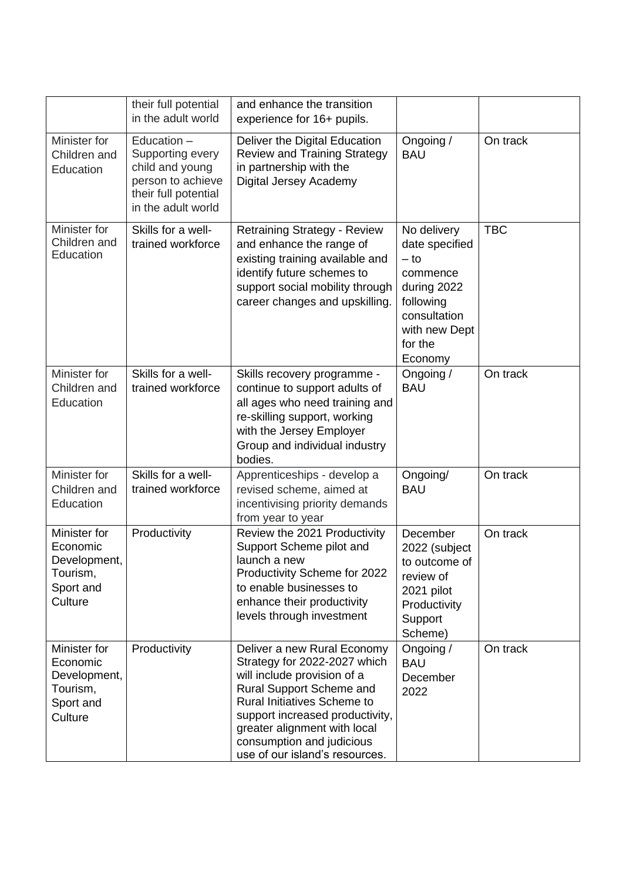|                                                                              | their full potential<br>in the adult world                                                                              | and enhance the transition<br>experience for 16+ pupils.                                                                                                                                                                                                                                       |                                                                                                                                        |            |
|------------------------------------------------------------------------------|-------------------------------------------------------------------------------------------------------------------------|------------------------------------------------------------------------------------------------------------------------------------------------------------------------------------------------------------------------------------------------------------------------------------------------|----------------------------------------------------------------------------------------------------------------------------------------|------------|
| Minister for<br>Children and<br>Education                                    | Education $-$<br>Supporting every<br>child and young<br>person to achieve<br>their full potential<br>in the adult world | Deliver the Digital Education<br><b>Review and Training Strategy</b><br>in partnership with the<br>Digital Jersey Academy                                                                                                                                                                      | Ongoing /<br><b>BAU</b>                                                                                                                | On track   |
| Minister for<br>Children and<br>Education                                    | Skills for a well-<br>trained workforce                                                                                 | <b>Retraining Strategy - Review</b><br>and enhance the range of<br>existing training available and<br>identify future schemes to<br>support social mobility through<br>career changes and upskilling.                                                                                          | No delivery<br>date specified<br>$-$ to<br>commence<br>during 2022<br>following<br>consultation<br>with new Dept<br>for the<br>Economy | <b>TBC</b> |
| Minister for<br>Children and<br>Education                                    | Skills for a well-<br>trained workforce                                                                                 | Skills recovery programme -<br>continue to support adults of<br>all ages who need training and<br>re-skilling support, working<br>with the Jersey Employer<br>Group and individual industry<br>bodies.                                                                                         | Ongoing /<br><b>BAU</b>                                                                                                                | On track   |
| Minister for<br>Children and<br>Education                                    | Skills for a well-<br>trained workforce                                                                                 | Apprenticeships - develop a<br>revised scheme, aimed at<br>incentivising priority demands<br>from year to year                                                                                                                                                                                 | Ongoing/<br><b>BAU</b>                                                                                                                 | On track   |
| Minister for<br>Economic<br>Development,<br>Tourism,<br>Sport and<br>Culture | Productivity                                                                                                            | Review the 2021 Productivity<br>Support Scheme pilot and<br>launch a new<br>Productivity Scheme for 2022<br>to enable businesses to<br>enhance their productivity<br>levels through investment                                                                                                 | December<br>2022 (subject<br>to outcome of<br>review of<br>2021 pilot<br>Productivity<br>Support<br>Scheme)                            | On track   |
| Minister for<br>Economic<br>Development,<br>Tourism,<br>Sport and<br>Culture | Productivity                                                                                                            | Deliver a new Rural Economy<br>Strategy for 2022-2027 which<br>will include provision of a<br>Rural Support Scheme and<br><b>Rural Initiatives Scheme to</b><br>support increased productivity,<br>greater alignment with local<br>consumption and judicious<br>use of our island's resources. | Ongoing /<br><b>BAU</b><br>December<br>2022                                                                                            | On track   |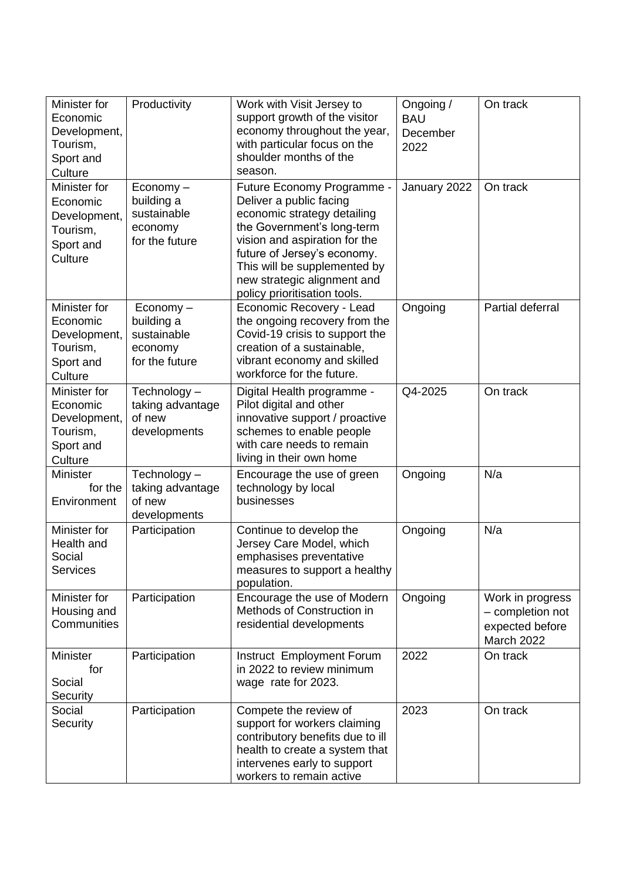| Minister for<br>Economic<br>Development,<br>Tourism,<br>Sport and<br>Culture | Productivity                                                                    | Work with Visit Jersey to<br>support growth of the visitor<br>economy throughout the year,<br>with particular focus on the<br>shoulder months of the<br>season.                                                                                                                   | Ongoing /<br><b>BAU</b><br>December<br>2022 | On track                                                              |
|------------------------------------------------------------------------------|---------------------------------------------------------------------------------|-----------------------------------------------------------------------------------------------------------------------------------------------------------------------------------------------------------------------------------------------------------------------------------|---------------------------------------------|-----------------------------------------------------------------------|
| Minister for<br>Economic<br>Development,<br>Tourism,<br>Sport and<br>Culture | $E_{\text{conomy}} -$<br>building a<br>sustainable<br>economy<br>for the future | Future Economy Programme -<br>Deliver a public facing<br>economic strategy detailing<br>the Government's long-term<br>vision and aspiration for the<br>future of Jersey's economy.<br>This will be supplemented by<br>new strategic alignment and<br>policy prioritisation tools. | January 2022                                | On track                                                              |
| Minister for<br>Economic<br>Development,<br>Tourism,<br>Sport and<br>Culture | Economy-<br>building a<br>sustainable<br>economy<br>for the future              | Economic Recovery - Lead<br>the ongoing recovery from the<br>Covid-19 crisis to support the<br>creation of a sustainable,<br>vibrant economy and skilled<br>workforce for the future.                                                                                             | Ongoing                                     | Partial deferral                                                      |
| Minister for<br>Economic<br>Development,<br>Tourism,<br>Sport and<br>Culture | Technology-<br>taking advantage<br>of new<br>developments                       | Digital Health programme -<br>Pilot digital and other<br>innovative support / proactive<br>schemes to enable people<br>with care needs to remain<br>living in their own home                                                                                                      | Q4-2025                                     | On track                                                              |
| <b>Minister</b><br>for the<br>Environment                                    | Technology -<br>taking advantage<br>of new<br>developments                      | Encourage the use of green<br>technology by local<br>businesses                                                                                                                                                                                                                   | Ongoing                                     | N/a                                                                   |
| Minister for<br>Health and<br>Social<br><b>Services</b>                      | Participation                                                                   | Continue to develop the<br>Jersey Care Model, which<br>emphasises preventative<br>measures to support a healthy<br>population.                                                                                                                                                    | Ongoing                                     | N/a                                                                   |
| Minister for<br>Housing and<br>Communities                                   | Participation                                                                   | Encourage the use of Modern<br>Methods of Construction in<br>residential developments                                                                                                                                                                                             | Ongoing                                     | Work in progress<br>- completion not<br>expected before<br>March 2022 |
| <b>Minister</b><br>for<br>Social<br>Security                                 | Participation                                                                   | Instruct Employment Forum<br>in 2022 to review minimum<br>wage rate for 2023.                                                                                                                                                                                                     | 2022                                        | On track                                                              |
| Social<br>Security                                                           | Participation                                                                   | Compete the review of<br>support for workers claiming<br>contributory benefits due to ill<br>health to create a system that<br>intervenes early to support<br>workers to remain active                                                                                            | 2023                                        | On track                                                              |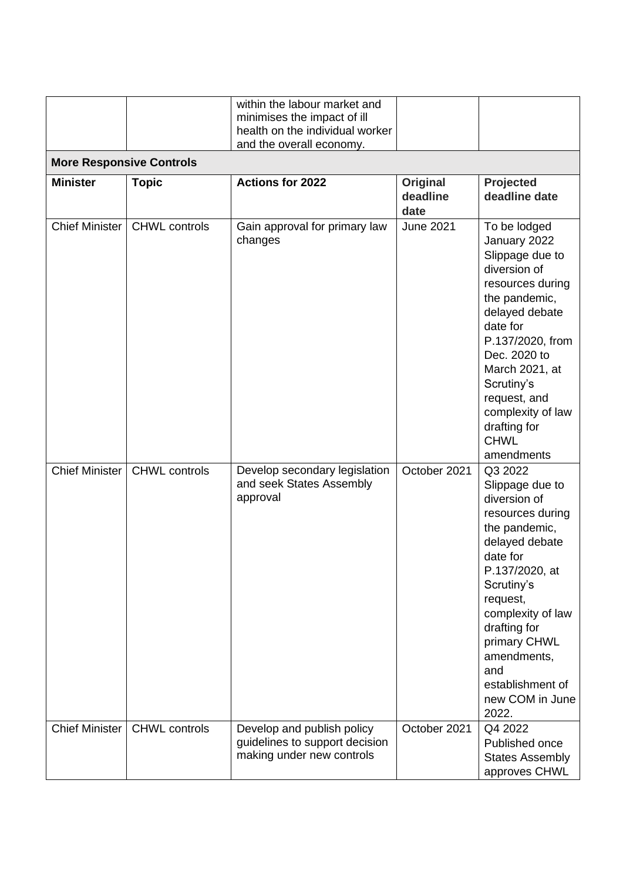|                                 |                      | within the labour market and<br>minimises the impact of ill<br>health on the individual worker<br>and the overall economy. |                              |                                                                                                                                                                                                                                                                                          |
|---------------------------------|----------------------|----------------------------------------------------------------------------------------------------------------------------|------------------------------|------------------------------------------------------------------------------------------------------------------------------------------------------------------------------------------------------------------------------------------------------------------------------------------|
| <b>More Responsive Controls</b> |                      |                                                                                                                            |                              |                                                                                                                                                                                                                                                                                          |
| <b>Minister</b>                 | <b>Topic</b>         | <b>Actions for 2022</b>                                                                                                    | Original<br>deadline<br>date | Projected<br>deadline date                                                                                                                                                                                                                                                               |
| <b>Chief Minister</b>           | <b>CHWL</b> controls | Gain approval for primary law<br>changes                                                                                   | <b>June 2021</b>             | To be lodged<br>January 2022<br>Slippage due to<br>diversion of<br>resources during<br>the pandemic,<br>delayed debate<br>date for<br>P.137/2020, from<br>Dec. 2020 to<br>March 2021, at<br>Scrutiny's<br>request, and<br>complexity of law<br>drafting for<br><b>CHWL</b><br>amendments |
| <b>Chief Minister</b>           | <b>CHWL</b> controls | Develop secondary legislation<br>and seek States Assembly<br>approval                                                      | October 2021                 | Q3 2022<br>Slippage due to<br>diversion of<br>resources during<br>the pandemic,<br>delayed debate<br>date for<br>P.137/2020, at<br>Scrutiny's<br>request,<br>complexity of law<br>drafting for<br>primary CHWL<br>amendments,<br>and<br>establishment of<br>new COM in June<br>2022.     |
| <b>Chief Minister</b>           | <b>CHWL</b> controls | Develop and publish policy<br>guidelines to support decision<br>making under new controls                                  | October 2021                 | Q4 2022<br>Published once<br><b>States Assembly</b><br>approves CHWL                                                                                                                                                                                                                     |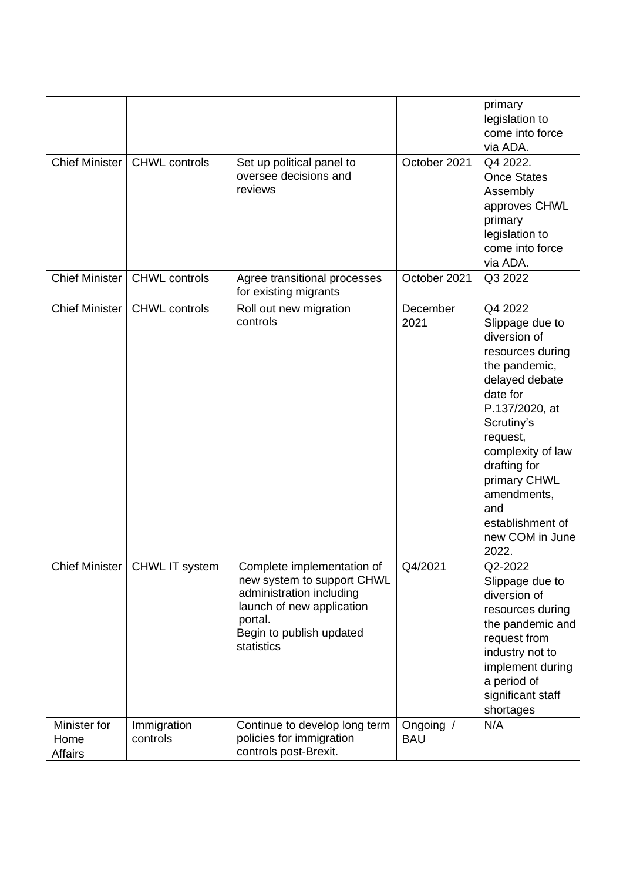| <b>Chief Minister</b>           | <b>CHWL controls</b>            | Set up political panel to<br>oversee decisions and<br>reviews                                                                                                          | October 2021            | primary<br>legislation to<br>come into force<br>via ADA.<br>Q4 2022.<br><b>Once States</b><br>Assembly<br>approves CHWL<br>primary<br>legislation to<br>come into force<br>via ADA.                                                                                                  |
|---------------------------------|---------------------------------|------------------------------------------------------------------------------------------------------------------------------------------------------------------------|-------------------------|--------------------------------------------------------------------------------------------------------------------------------------------------------------------------------------------------------------------------------------------------------------------------------------|
| <b>Chief Minister</b>           | <b>CHWL</b> controls            | Agree transitional processes<br>for existing migrants                                                                                                                  | October 2021            | Q3 2022                                                                                                                                                                                                                                                                              |
| <b>Chief Minister</b>           | <b>CHWL</b> controls            | Roll out new migration<br>controls                                                                                                                                     | December<br>2021        | Q4 2022<br>Slippage due to<br>diversion of<br>resources during<br>the pandemic,<br>delayed debate<br>date for<br>P.137/2020, at<br>Scrutiny's<br>request,<br>complexity of law<br>drafting for<br>primary CHWL<br>amendments,<br>and<br>establishment of<br>new COM in June<br>2022. |
|                                 | Chief Minister   CHWL IT system | Complete implementation of<br>new system to support CHWL<br>administration including<br>launch of new application<br>portal.<br>Begin to publish updated<br>statistics | Q4/2021                 | Q2-2022<br>Slippage due to<br>diversion of<br>resources during<br>the pandemic and<br>request from<br>industry not to<br>implement during<br>a period of<br>significant staff<br>shortages                                                                                           |
| Minister for<br>Home<br>Affairs | Immigration<br>controls         | Continue to develop long term<br>policies for immigration<br>controls post-Brexit.                                                                                     | Ongoing /<br><b>BAU</b> | N/A                                                                                                                                                                                                                                                                                  |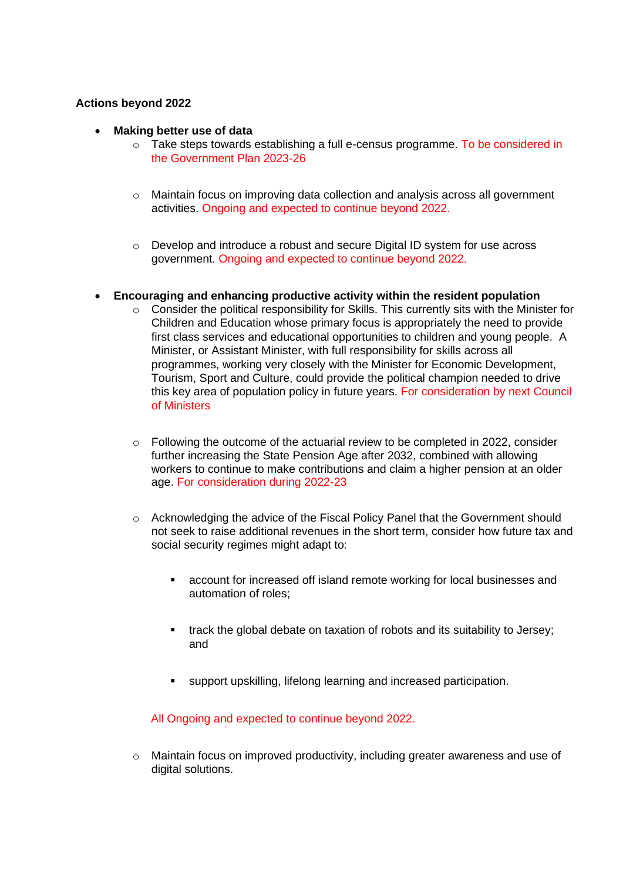## **Actions beyond 2022**

- **Making better use of data**
	- $\circ$  Take steps towards establishing a full e-census programme. To be considered in the Government Plan 2023-26
	- $\circ$  Maintain focus on improving data collection and analysis across all government activities. Ongoing and expected to continue beyond 2022.
	- o Develop and introduce a robust and secure Digital ID system for use across government. Ongoing and expected to continue beyond 2022.

### • **Encouraging and enhancing productive activity within the resident population**

- o Consider the political responsibility for Skills. This currently sits with the Minister for Children and Education whose primary focus is appropriately the need to provide first class services and educational opportunities to children and young people. A Minister, or Assistant Minister, with full responsibility for skills across all programmes, working very closely with the Minister for Economic Development, Tourism, Sport and Culture, could provide the political champion needed to drive this key area of population policy in future years. For consideration by next Council of Ministers
- $\circ$  Following the outcome of the actuarial review to be completed in 2022, consider further increasing the State Pension Age after 2032, combined with allowing workers to continue to make contributions and claim a higher pension at an older age. For consideration during 2022-23
- o Acknowledging the advice of the Fiscal Policy Panel that the Government should not seek to raise additional revenues in the short term, consider how future tax and social security regimes might adapt to:
	- account for increased off island remote working for local businesses and automation of roles;
	- track the global debate on taxation of robots and its suitability to Jersey; and
	- support upskilling, lifelong learning and increased participation.

All Ongoing and expected to continue beyond 2022.

o Maintain focus on improved productivity, including greater awareness and use of digital solutions.